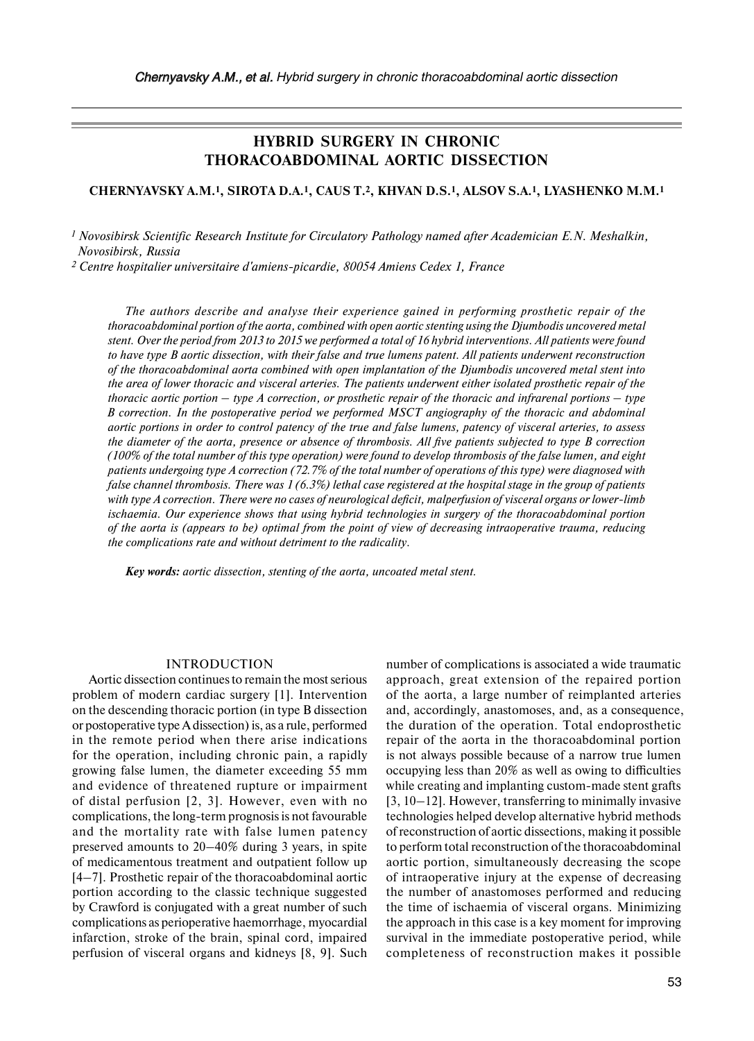# **HYBRID SURGERY IN CHRONIC THORACOABDOMINAL AORTIC DISSECTION**

# **CHERNYAVSKY A.M.1, SIROTA D.A.1, CAUS T.2, KHVAN D.S.1, ALSOV S.A.1, LYASHENKO M.M.1**

*<sup>1</sup> Novosibirsk Scientific Research Institute for Circulatory Pathology named after Academician E.N. Meshalkin, Novosibirsk, Russia*

*2 Сentre hospitalier universitaire d'amiens-picardie, 80054 Amiens Cedex 1, France*

*The authors describe and analyse their experience gained in performing prosthetic repair of the thoracoabdominal portion of the aorta, combined with open aortic stenting using the Djumbodis uncovered metal stent. Over the period from 2013 to 2015 we performed a total of 16 hybrid interventions. All patients were found to have type B aortic dissection, with their false and true lumens patent. All patients underwent reconstruction of the thoracoabdominal aorta combined with open implantation of the Djumbodis uncovered metal stent into the area of lower thoracic and visceral arteries. The patients underwent either isolated prosthetic repair of the thoracic aortic portion – type A correction, or prosthetic repair of the thoracic and infrarenal portions – type B correction. In the postoperative period we performed MSCT angiography of the thoracic and abdominal aortic portions in order to control patency of the true and false lumens, patency of visceral arteries, to assess the diameter of the aorta, presence or absence of thrombosis. All five patients subjected to type B correction (100% of the total number of this type operation) were found to develop thrombosis of the false lumen, and eight patients undergoing type A correction (72.7% of the total number of operations of this type) were diagnosed with false channel thrombosis. There was 1 (6.3%) lethal case registered at the hospital stage in the group of patients with type A correction. There were no cases of neurological deficit, malperfusion of visceral organs or lower-limb ischaemia. Our experience shows that using hybrid technologies in surgery of the thoracoabdominal portion of the aorta is (appears to be) optimal from the point of view of decreasing intraoperative trauma, reducing the complications rate and without detriment to the radicality.*

*Key words: aortic dissection, stenting of the aorta, uncoated metal stent.* 

#### INTRODUCTION

Aortic dissection continues to remain the most serious problem of modern cardiac surgery [1]. Intervention on the descending thoracic portion (in type B dissection or postoperative type Adissection) is, as a rule, performed in the remote period when there arise indications for the operation, including chronic pain, a rapidly growing false lumen, the diameter exceeding 55 mm and evidence of threatened rupture or impairment of distal perfusion [2, 3]. However, even with no complications, the long-term prognosis is not favourable and the mortality rate with false lumen patency preserved amounts to 20–40% during 3 years, in spite of medicamentous treatment and outpatient follow up [4–7]. Prosthetic repair of the thoracoabdominal aortic portion according to the classic technique suggested by Crawford is conjugated with a great number of such complications as perioperative haemorrhage, myocardial infarction, stroke of the brain, spinal cord, impaired perfusion of visceral organs and kidneys [8, 9]. Such number of complications is associated a wide traumatic approach, great extension of the repaired portion of the aorta, a large number of reimplanted arteries and, accordingly, anastomoses, and, as a consequence, the duration of the operation. Total endoprosthetic repair of the aorta in the thoracoabdominal portion is not always possible because of a narrow true lumen occupying less than 20% as well as owing to difficulties while creating and implanting custom-made stent grafts [3, 10–12]. However, transferring to minimally invasive technologies helped develop alternative hybrid methods ofreconstruction of aortic dissections, making it possible to perform total reconstruction of the thoracoabdominal aortic portion, simultaneously decreasing the scope of intraoperative injury at the expense of decreasing the number of anastomoses performed and reducing the time of ischaemia of visceral organs. Minimizing the approach in this case is a key moment for improving survival in the immediate postoperative period, while completeness of reconstruction makes it possible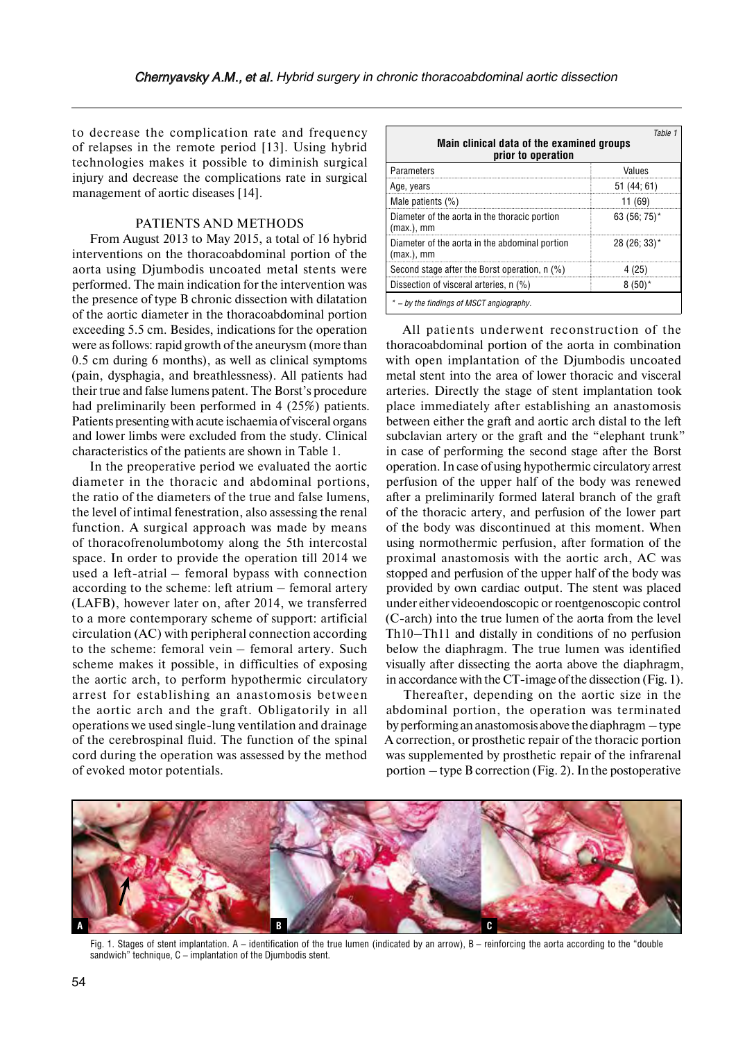to decrease the complication rate and frequency of relapses in the remote period [13]. Using hybrid technologies makes it possible to diminish surgical injury and decrease the complications rate in surgical management of aortic diseases [14].

# PATIENTS AND METHODS

From August 2013 to May 2015, a total of 16 hybrid interventions on the thoracoabdominal portion of the aorta using Djumbodis uncoated metal stents were performed. The main indication for the intervention was the presence of type B chronic dissection with dilatation of the aortic diameter in the thoracoabdominal portion exceeding 5.5 cm. Besides, indications for the operation were as follows: rapid growth of the aneurysm (more than 0.5 cm during 6 months), as well as clinical symptoms (pain, dysphagia, and breathlessness). All patients had their true and false lumens patent. The Borst's procedure had preliminarily been performed in 4 (25%) patients. Patients presenting with acute ischaemia of visceral organs and lower limbs were excluded from the study. Clinical characteristics of the patients are shown in Table 1.

In the preoperative period we evaluated the aortic diameter in the thoracic and abdominal portions, the ratio of the diameters of the true and false lumens, the level of intimal fenestration, also assessing the renal function. A surgical approach was made by means of thoracofrenolumbotomy along the 5th intercostal space. In order to provide the operation till 2014 we used a left-atrial – femoral bypass with connection according to the scheme: left atrium – femoral artery (LAFB), however later on, after 2014, we transferred to a more contemporary scheme of support: artificial circulation (AC) with peripheral connection according to the scheme: femoral vein – femoral artery. Such scheme makes it possible, in difficulties of exposing the aortic arch, to perform hypothermic circulatory arrest for establishing an anastomosis between the aortic arch and the graft. Obligatorily in all operations we used single-lung ventilation and drainage of the cerebrospinal fluid. The function of the spinal cord during the operation was assessed by the method of evoked motor potentials.

| Table 1<br>Main clinical data of the examined groups<br>prior to operation |                          |
|----------------------------------------------------------------------------|--------------------------|
| Parameters                                                                 | Values                   |
| Age, years                                                                 | 51(44; 61)               |
| Male patients (%)                                                          | 11 (69)                  |
| Diameter of the aorta in the thoracic portion<br>$(max.)$ , mm             | 63 (56; 75)*             |
| Diameter of the aorta in the abdominal portion<br>$(max.)$ , mm            | $28(26:33)$ <sup>*</sup> |
| Second stage after the Borst operation, n (%)                              | 4 (25)                   |
| Dissection of visceral arteries, n (%)                                     | $8(50)*$                 |
| * – by the findings of MSCT angiography.                                   |                          |

All patients underwent reconstruction of the thoracoabdominal portion of the aorta in combination with open implantation of the Djumbodis uncoated metal stent into the area of lower thoracic and visceral arteries. Directly the stage of stent implantation took place immediately after establishing an anastomosis between either the graft and aortic arch distal to the left subclavian artery or the graft and the "elephant trunk" in case of performing the second stage after the Borst operation. In case of using hypothermic circulatory arrest perfusion of the upper half of the body was renewed after a preliminarily formed lateral branch of the graft of the thoracic artery, and perfusion of the lower part of the body was discontinued at this moment. When using normothermic perfusion, after formation of the proximal anastomosis with the aortic arch, AC was stopped and perfusion of the upper half of the body was provided by own cardiac output. The stent was placed under either videoendoscopic or roentgenoscopic control (C-arch) into the true lumen of the aorta from the level Th10–Th11 and distally in conditions of no perfusion below the diaphragm. The true lumen was identified visually after dissecting the aorta above the diaphragm, in accordance with the CT-image ofthe dissection (Fig. 1).

Thereafter, depending on the aortic size in the abdominal portion, the operation was terminated by performing an anastomosis above the diaphragm – type A correction, or prosthetic repair of the thoracic portion was supplemented by prosthetic repair of the infrarenal portion – type B correction (Fig. 2). In the postoperative



Fig. 1. Stages of stent implantation. A – identification of the true lumen (indicated by an arrow), B – reinforcing the aorta according to the "double sandwich" technique, C – implantation of the Djumbodis stent.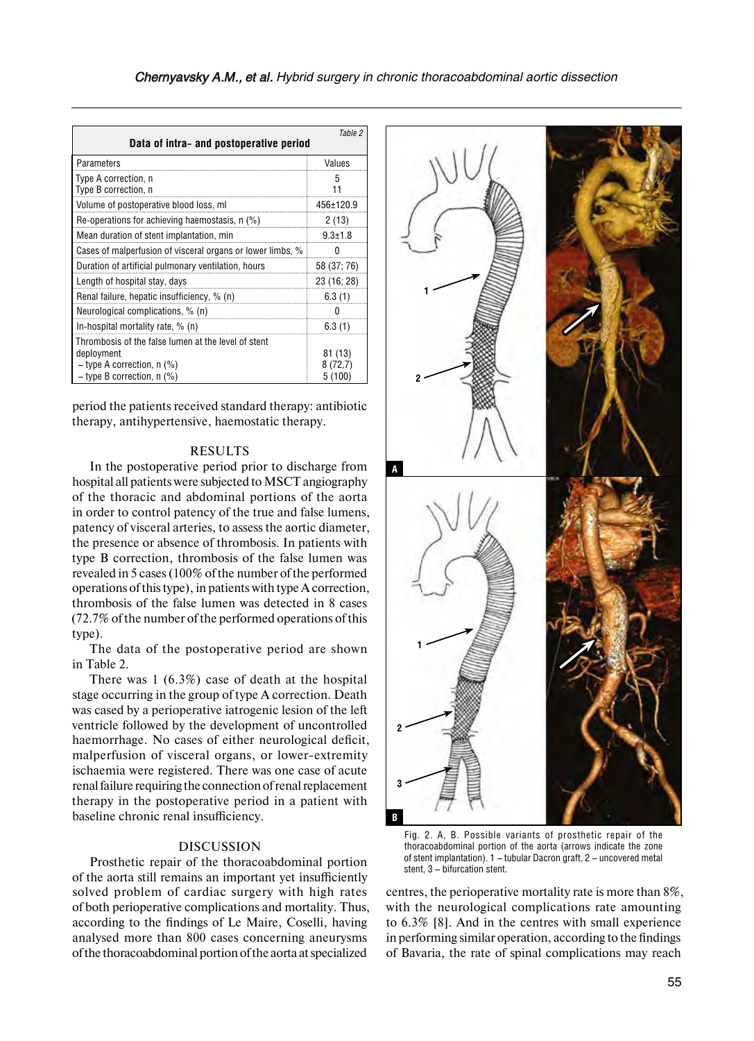| Table 2<br>Data of intra- and postoperative period                                                                                |                               |  |
|-----------------------------------------------------------------------------------------------------------------------------------|-------------------------------|--|
| Parameters                                                                                                                        | Values                        |  |
| Type A correction, n<br>Type B correction, n                                                                                      | 5                             |  |
| Volume of postoperative blood loss, ml                                                                                            | 456±120.9                     |  |
| Re-operations for achieving haemostasis, n (%)                                                                                    | 2(13)                         |  |
| Mean duration of stent implantation, min                                                                                          | $9.3 \pm 1.8$                 |  |
| Cases of malperfusion of visceral organs or lower limbs, %                                                                        | n                             |  |
| Duration of artificial pulmonary ventilation, hours                                                                               | 58 (37; 76)                   |  |
| Length of hospital stay, days                                                                                                     | 23 (16; 28)                   |  |
| Renal failure, hepatic insufficiency, % (n)                                                                                       | 6.3(1)                        |  |
| Neurological complications, % (n)                                                                                                 | n                             |  |
| In-hospital mortality rate, % (n)                                                                                                 | 6.3(1)                        |  |
| Thrombosis of the false lumen at the level of stent<br>deployment<br>$-$ type A correction, n (%)<br>$-$ type B correction, n (%) | 81 (13)<br>8 (72,7)<br>5 (100 |  |

period the patients received standard therapy: antibiotic therapy, antihypertensive, haemostatic therapy.

#### RESULTS

In the postoperative period prior to discharge from hospital all patients were subjected to MSCT angiography of the thoracic and abdominal portions of the aorta in order to control patency of the true and false lumens, patency of visceral arteries, to assess the aortic diameter, the presence or absence of thrombosis. In patients with type B correction, thrombosis of the false lumen was revealed in 5 cases (100% of the number of the performed operations of this type), in patients with type Acorrection, thrombosis of the false lumen was detected in 8 cases (72.7% of the number of the performed operations of this type).

The data of the postoperative period are shown in Table 2.

There was 1 (6.3%) case of death at the hospital stage occurring in the group of type A correction. Death was cased by a perioperative iatrogenic lesion of the left ventricle followed by the development of uncontrolled haemorrhage. No cases of either neurological deficit, malperfusion of visceral organs, or lower-extremity ischaemia were registered. There was one case of acute renal failure requiring the connection ofrenal replacement therapy in the postoperative period in a patient with baseline chronic renal insufficiency.

### DISCUSSION

Prosthetic repair of the thoracoabdominal portion of the aorta still remains an important yet insufficiently solved problem of cardiac surgery with high rates of both perioperative complications and mortality. Thus, according to the findings of Le Maire, Coselli, having analysed more than 800 cases concerning aneurysms ofthe thoracoabdominal portion ofthe aorta atspecialized



Fig. 2. A, B. Possible variants of prosthetic repair of the thoracoabdominal portion of the aorta (arrows indicate the zone of stent implantation). 1 – tubular Dacron graft, 2 – uncovered metal stent, 3 – bifurcation stent.

centres, the perioperative mortality rate is more than 8%, with the neurological complications rate amounting to 6.3% [8]. And in the centres with small experience in performing similar operation, according to the findings of Bavaria, the rate of spinal complications may reach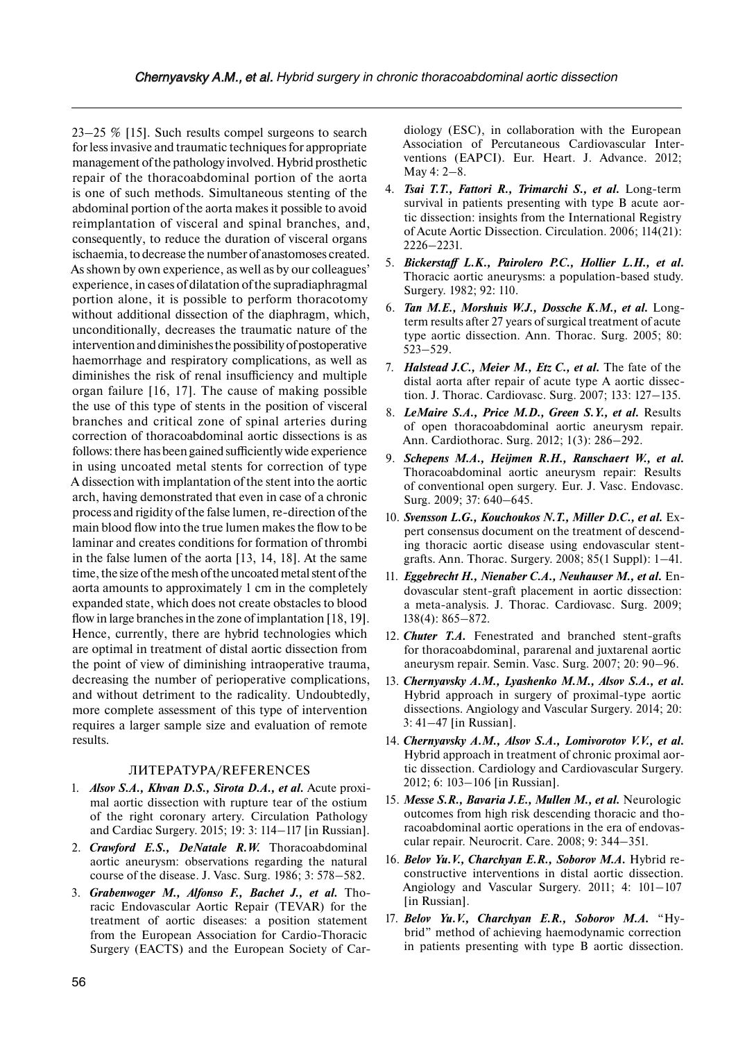23–25 % [15]. Such results compel surgeons to search for less invasive and traumatic techniques for appropriate management of the pathology involved. Hybrid prosthetic repair of the thoracoabdominal portion of the aorta is one of such methods. Simultaneous stenting of the abdominal portion of the aorta makes it possible to avoid reimplantation of visceral and spinal branches, and, consequently, to reduce the duration of visceral organs ischaemia, to decrease the number of anastomoses created. As shown by own experience, as well as by our colleagues' experience, in cases of dilatation of the supradiaphragmal portion alone, it is possible to perform thoracotomy without additional dissection of the diaphragm, which, unconditionally, decreases the traumatic nature of the intervention and diminishes the possibility of postoperative haemorrhage and respiratory complications, as well as diminishes the risk of renal insufficiency and multiple organ failure [16, 17]. The cause of making possible the use of this type of stents in the position of visceral branches and critical zone of spinal arteries during correction of thoracoabdominal aortic dissections is as follows: there has been gained sufficiently wide experience in using uncoated metal stents for correction of type A dissection with implantation of the stent into the aortic arch, having demonstrated that even in case of a chronic process and rigidity of the false lumen, re-direction of the main blood flow into the true lumen makes the flow to be laminar and creates conditions for formation of thrombi in the false lumen of the aorta [13, 14, 18]. At the same time, the size of the mesh of the uncoated metal stent of the aorta amounts to approximately 1 cm in the completely expanded state, which does not create obstacles to blood flow in large branches in the zone of implantation [18, 19]. Hence, currently, there are hybrid technologies which are optimal in treatment of distal aortic dissection from the point of view of diminishing intraoperative trauma, decreasing the number of perioperative complications, and without detriment to the radicality. Undoubtedly, more complete assessment of this type of intervention requires a larger sample size and evaluation of remote results.

#### ЛИТЕРАТУРА/REFERENCES

- 1. *Alsov S.A., Khvan D.S., Sirota D.A., et al.* Acute proximal aortic dissection with rupture tear of the ostium of the right coronary artery. Circulation Pathology and Cardiac Surgery. 2015; 19: 3: 114–117 [in Russian].
- 2. *Crawford E.S., DeNatale R.W.* Thoracoabdominal aortic aneurysm: observations regarding the natural course of the disease. J. Vasc. Surg. 1986; 3: 578–582.
- 3. *Grabenwoger M., Alfonso F., Bachet J., et al.* Thoracic Endovascular Aortic Repair (TEVAR) for the treatment of aortic diseases: a position statement from the European Association for Cardio-Thoracic Surgery (EACTS) and the European Society of Car-

diology (ESC), in collaboration with the European Association of Percutaneous Cardiovascular Interventions (EAPCI). Eur. Heart. J. Advance. 2012; May 4: 2–8.

- 4. *Tsai T.T., Fattori R., Trimarchi S., et al.* Long-term survival in patients presenting with type B acute aortic dissection: insights from the International Registry of Acute Aortic Dissection. Circulation. 2006; 114(21): 2226–2231.
- 5. *Bickerstaff L.K., Pairolero P.C., Hollier L.H., et al.*  Thoracic aortic aneurysms: a population-based study. Surgery. 1982; 92: 110.
- 6. *Tan M.E., Morshuis W.J., Dossche K.M., et al.* Longterm results after 27 years of surgical treatment of acute type aortic dissection. Ann. Thorac. Surg. 2005; 80: 523–529.
- 7. *Halstead J.C., Meier M., Etz C., et al.* The fate of the distal aorta after repair of acute type A aortic dissection. J. Thorac. Cardiovasc. Surg. 2007; 133: 127–135.
- 8. *LeMaire S.A., Price M.D., Green S.Y., et al.* Results of open thoracoabdominal aortic aneurysm repair. Ann. Cardiothorac. Surg. 2012; 1(3): 286–292.
- 9. *Schepens M.A., Heijmen R.H., Ranschaert W., et al.*  Thoracoabdominal aortic aneurysm repair: Results of conventional open surgery. Eur. J. Vasc. Endovasc. Surg. 2009; 37: 640–645.
- 10. *Svensson L.G., Kouchoukos N.T., Miller D.C., et al.* Expert consensus document on the treatment of descending thoracic aortic disease using endovascular stentgrafts. Ann. Thorac. Surgery. 2008; 85(1 Suppl): 1–41.
- 11. *Eggebrecht H., Nienaber C.A., Neuhauser M., et al.* Endovascular stent-graft placement in aortic dissection: a meta-analysis. J. Thorac. Cardiovasc. Surg. 2009; 138(4): 865–872.
- 12. *Chuter T.A.* Fenestrated and branched stent-grafts for thoracoabdominal, pararenal and juxtarenal aortic aneurysm repair. Semin. Vasc. Surg. 2007; 20: 90–96.
- 13. *Chernyavsky A.M., Lyashenko M.M., Alsov S.A., et al.*  Hybrid approach in surgery of proximal-type aortic dissections. Angiology and Vascular Surgery. 2014; 20: 3: 41–47 [in Russian].
- 14. *Chernyavsky A.M., Alsov S.A., Lomivorotov V.V., et al.*  Hybrid approach in treatment of chronic proximal aortic dissection. Cardiology and Cardiovascular Surgery. 2012; 6: 103–106 [in Russian].
- 15. *Messe S.R., Bavaria J.E., Mullen M., et al.* Neurologic outcomes from high risk descending thoracic and thoracoabdominal aortic operations in the era of endovascular repair. Neurocrit. Care. 2008; 9: 344–351.
- 16. *Belov Yu.V., Charchyan E.R., Soborov M.A.* Hybrid reconstructive interventions in distal aortic dissection. Angiology and Vascular Surgery. 2011; 4: 101–107 [in Russian].
- 17. *Belov Yu.V., Charchyan E.R., Soborov M.A.* "Hybrid" method of achieving haemodynamic correction in patients presenting with type B aortic dissection.